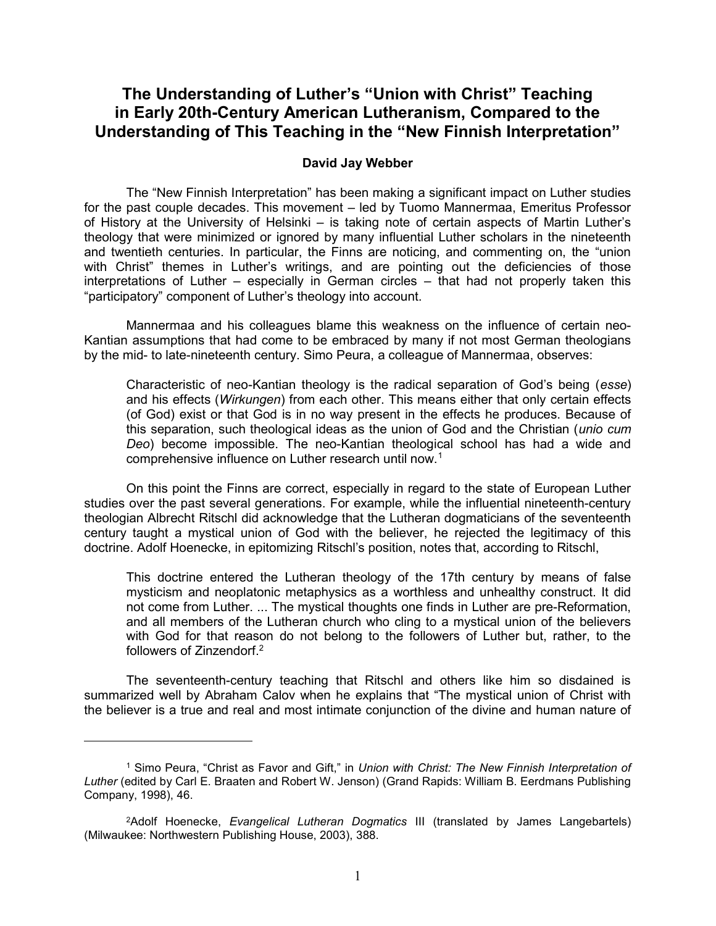## The Understanding of Luther's "Union with Christ" Teaching in Early 20th-Century American Lutheranism, Compared to the Understanding of This Teaching in the "New Finnish Interpretation"

## David Jay Webber

 The "New Finnish Interpretation" has been making a significant impact on Luther studies for the past couple decades. This movement – led by Tuomo Mannermaa, Emeritus Professor of History at the University of Helsinki – is taking note of certain aspects of Martin Luther's theology that were minimized or ignored by many influential Luther scholars in the nineteenth and twentieth centuries. In particular, the Finns are noticing, and commenting on, the "union with Christ" themes in Luther's writings, and are pointing out the deficiencies of those interpretations of Luther – especially in German circles – that had not properly taken this "participatory" component of Luther's theology into account.

 Mannermaa and his colleagues blame this weakness on the influence of certain neo-Kantian assumptions that had come to be embraced by many if not most German theologians by the mid- to late-nineteenth century. Simo Peura, a colleague of Mannermaa, observes:

Characteristic of neo-Kantian theology is the radical separation of God's being (esse) and his effects (Wirkungen) from each other. This means either that only certain effects (of God) exist or that God is in no way present in the effects he produces. Because of this separation, such theological ideas as the union of God and the Christian (*unio cum* Deo) become impossible. The neo-Kantian theological school has had a wide and comprehensive influence on Luther research until now.<sup>1</sup>

 On this point the Finns are correct, especially in regard to the state of European Luther studies over the past several generations. For example, while the influential nineteenth-century theologian Albrecht Ritschl did acknowledge that the Lutheran dogmaticians of the seventeenth century taught a mystical union of God with the believer, he rejected the legitimacy of this doctrine. Adolf Hoenecke, in epitomizing Ritschl's position, notes that, according to Ritschl,

This doctrine entered the Lutheran theology of the 17th century by means of false mysticism and neoplatonic metaphysics as a worthless and unhealthy construct. It did not come from Luther. ... The mystical thoughts one finds in Luther are pre-Reformation, and all members of the Lutheran church who cling to a mystical union of the believers with God for that reason do not belong to the followers of Luther but, rather, to the followers of Zinzendorf.<sup>2</sup>

The seventeenth-century teaching that Ritschl and others like him so disdained is summarized well by Abraham Calov when he explains that "The mystical union of Christ with the believer is a true and real and most intimate conjunction of the divine and human nature of

<sup>&</sup>lt;sup>1</sup> Simo Peura, "Christ as Favor and Gift," in Union with Christ: The New Finnish Interpretation of Luther (edited by Carl E. Braaten and Robert W. Jenson) (Grand Rapids: William B. Eerdmans Publishing Company, 1998), 46.

<sup>2</sup>Adolf Hoenecke, Evangelical Lutheran Dogmatics III (translated by James Langebartels) (Milwaukee: Northwestern Publishing House, 2003), 388.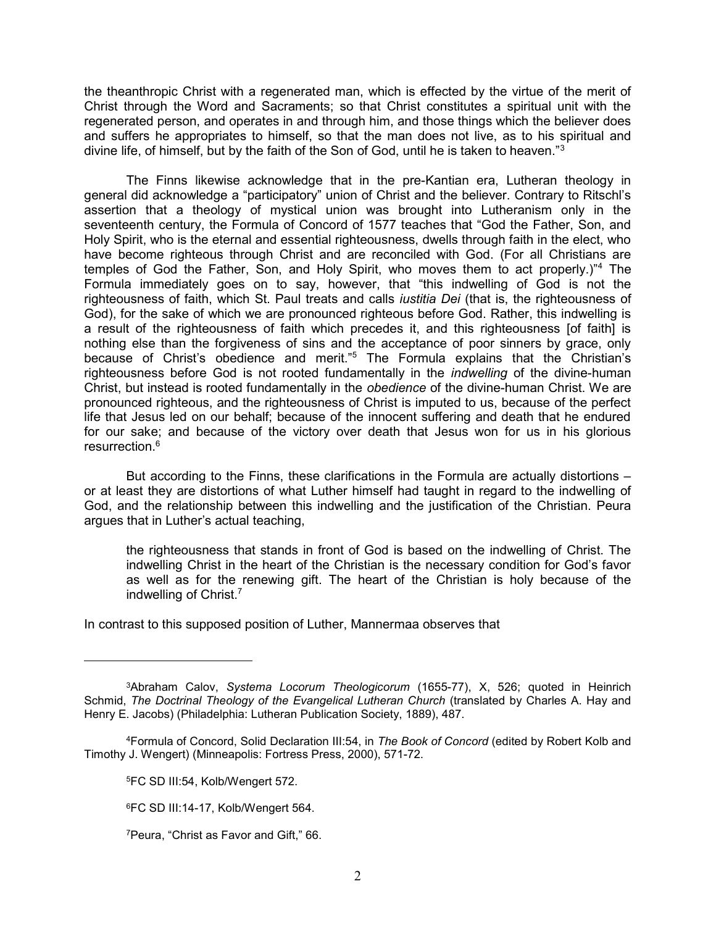the theanthropic Christ with a regenerated man, which is effected by the virtue of the merit of Christ through the Word and Sacraments; so that Christ constitutes a spiritual unit with the regenerated person, and operates in and through him, and those things which the believer does and suffers he appropriates to himself, so that the man does not live, as to his spiritual and divine life, of himself, but by the faith of the Son of God, until he is taken to heaven."<sup>3</sup>

The Finns likewise acknowledge that in the pre-Kantian era, Lutheran theology in general did acknowledge a "participatory" union of Christ and the believer. Contrary to Ritschl's assertion that a theology of mystical union was brought into Lutheranism only in the seventeenth century, the Formula of Concord of 1577 teaches that "God the Father, Son, and Holy Spirit, who is the eternal and essential righteousness, dwells through faith in the elect, who have become righteous through Christ and are reconciled with God. (For all Christians are temples of God the Father, Son, and Holy Spirit, who moves them to act properly.)"<sup>4</sup> The Formula immediately goes on to say, however, that "this indwelling of God is not the righteousness of faith, which St. Paul treats and calls *justitia Dei* (that is, the righteousness of God), for the sake of which we are pronounced righteous before God. Rather, this indwelling is a result of the righteousness of faith which precedes it, and this righteousness [of faith] is nothing else than the forgiveness of sins and the acceptance of poor sinners by grace, only because of Christ's obedience and merit."<sup>5</sup> The Formula explains that the Christian's righteousness before God is not rooted fundamentally in the indwelling of the divine-human Christ, but instead is rooted fundamentally in the obedience of the divine-human Christ. We are pronounced righteous, and the righteousness of Christ is imputed to us, because of the perfect life that Jesus led on our behalf; because of the innocent suffering and death that he endured for our sake; and because of the victory over death that Jesus won for us in his glorious resurrection.<sup>6</sup>

But according to the Finns, these clarifications in the Formula are actually distortions – or at least they are distortions of what Luther himself had taught in regard to the indwelling of God, and the relationship between this indwelling and the justification of the Christian. Peura argues that in Luther's actual teaching,

the righteousness that stands in front of God is based on the indwelling of Christ. The indwelling Christ in the heart of the Christian is the necessary condition for God's favor as well as for the renewing gift. The heart of the Christian is holy because of the indwelling of Christ.<sup>7</sup>

In contrast to this supposed position of Luther, Mannermaa observes that

<sup>3</sup>Abraham Calov, Systema Locorum Theologicorum (1655-77), X, 526; quoted in Heinrich Schmid, The Doctrinal Theology of the Evangelical Lutheran Church (translated by Charles A. Hay and Henry E. Jacobs) (Philadelphia: Lutheran Publication Society, 1889), 487.

<sup>4</sup>Formula of Concord, Solid Declaration III:54, in The Book of Concord (edited by Robert Kolb and Timothy J. Wengert) (Minneapolis: Fortress Press, 2000), 571-72.

<sup>5</sup>FC SD III:54, Kolb/Wengert 572.

<sup>6</sup>FC SD III:14-17, Kolb/Wengert 564.

<sup>7</sup>Peura, "Christ as Favor and Gift," 66.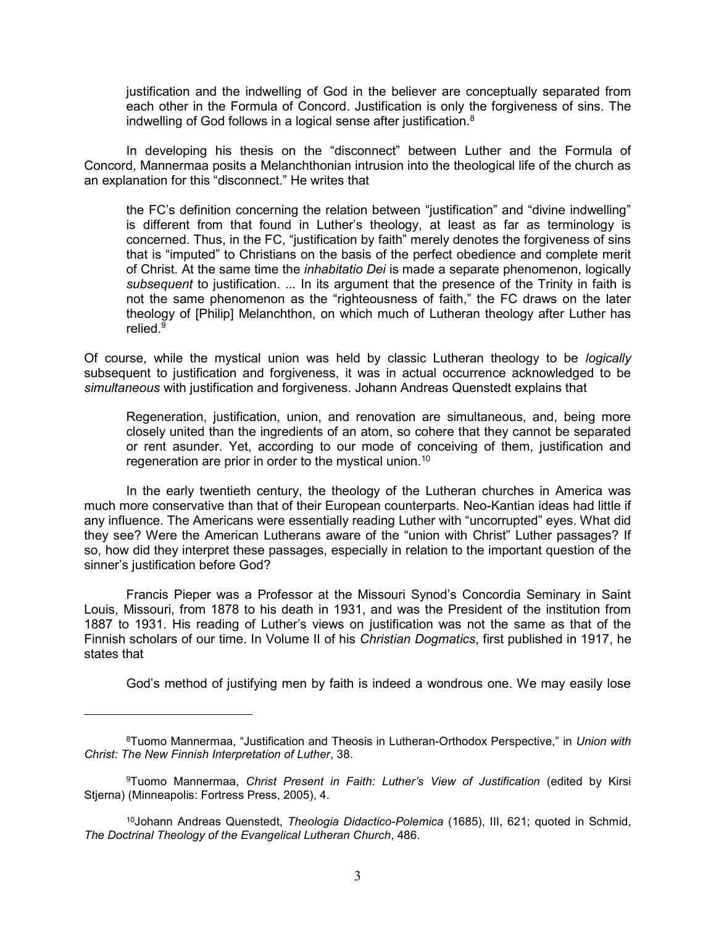justification and the indwelling of God in the believer are conceptually separated from each other in the Formula of Concord. Justification is only the forgiveness of sins. The indwelling of God follows in a logical sense after justification.<sup>8</sup>

 In developing his thesis on the "disconnect" between Luther and the Formula of Concord, Mannermaa posits a Melanchthonian intrusion into the theological life of the church as an explanation for this "disconnect." He writes that

the FC's definition concerning the relation between "justification" and "divine indwelling" is different from that found in Luther's theology, at least as far as terminology is concerned. Thus, in the FC, "justification by faith" merely denotes the forgiveness of sins that is "imputed" to Christians on the basis of the perfect obedience and complete merit of Christ. At the same time the *inhabitatio Dei* is made a separate phenomenon, logically subsequent to justification. ... In its argument that the presence of the Trinity in faith is not the same phenomenon as the "righteousness of faith," the FC draws on the later theology of [Philip] Melanchthon, on which much of Lutheran theology after Luther has relied.<sup>9</sup>

Of course, while the mystical union was held by classic Lutheran theology to be logically subsequent to justification and forgiveness, it was in actual occurrence acknowledged to be simultaneous with justification and forgiveness. Johann Andreas Quenstedt explains that

Regeneration, justification, union, and renovation are simultaneous, and, being more closely united than the ingredients of an atom, so cohere that they cannot be separated or rent asunder. Yet, according to our mode of conceiving of them, justification and regeneration are prior in order to the mystical union.<sup>10</sup>

 In the early twentieth century, the theology of the Lutheran churches in America was much more conservative than that of their European counterparts. Neo-Kantian ideas had little if any influence. The Americans were essentially reading Luther with "uncorrupted" eyes. What did they see? Were the American Lutherans aware of the "union with Christ" Luther passages? If so, how did they interpret these passages, especially in relation to the important question of the sinner's justification before God?

 Francis Pieper was a Professor at the Missouri Synod's Concordia Seminary in Saint Louis, Missouri, from 1878 to his death in 1931, and was the President of the institution from 1887 to 1931. His reading of Luther's views on justification was not the same as that of the Finnish scholars of our time. In Volume II of his Christian Dogmatics, first published in 1917, he states that

God's method of justifying men by faith is indeed a wondrous one. We may easily lose

<sup>&</sup>lt;sup>8</sup>Tuomo Mannermaa, "Justification and Theosis in Lutheran-Orthodox Perspective," in Union with Christ: The New Finnish Interpretation of Luther, 38.

<sup>&</sup>lt;sup>9</sup>Tuomo Mannermaa, Christ Present in Faith: Luther's View of Justification (edited by Kirsi Stjerna) (Minneapolis: Fortress Press, 2005), 4.

<sup>&</sup>lt;sup>10</sup>Johann Andreas Quenstedt, Theologia Didactico-Polemica (1685), III, 621; quoted in Schmid, The Doctrinal Theology of the Evangelical Lutheran Church, 486.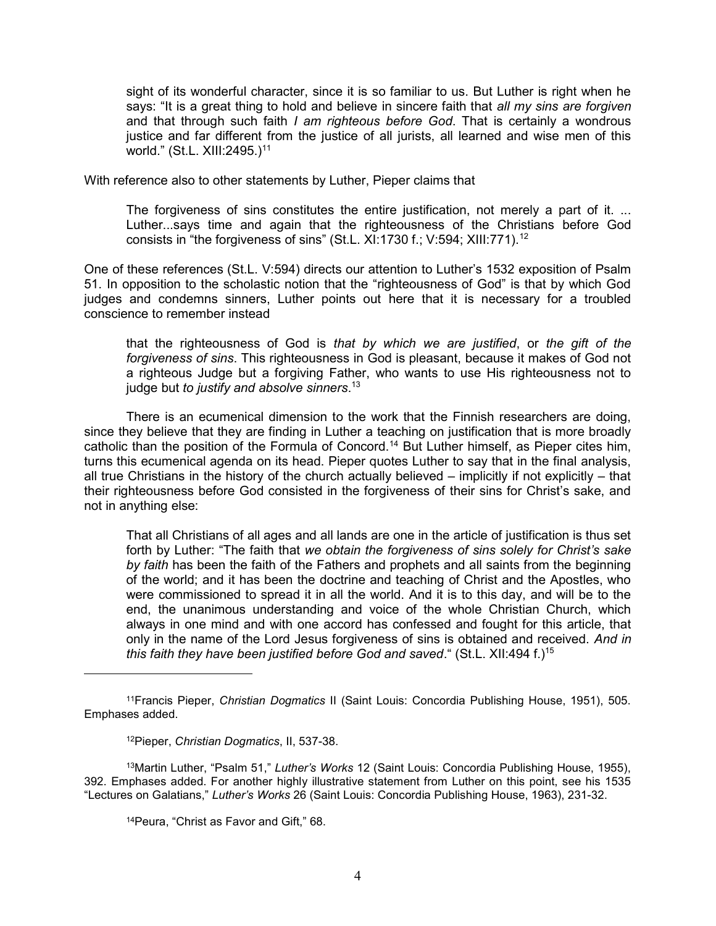sight of its wonderful character, since it is so familiar to us. But Luther is right when he says: "It is a great thing to hold and believe in sincere faith that all my sins are forgiven and that through such faith I am righteous before God. That is certainly a wondrous justice and far different from the justice of all jurists, all learned and wise men of this world." (St.L. XIII: 2495.)<sup>11</sup>

With reference also to other statements by Luther, Pieper claims that

The forgiveness of sins constitutes the entire justification, not merely a part of it. ... Luther...says time and again that the righteousness of the Christians before God consists in "the forgiveness of sins" (St.L. XI:1730 f.; V:594; XIII:771).<sup>12</sup>

One of these references (St.L. V:594) directs our attention to Luther's 1532 exposition of Psalm 51. In opposition to the scholastic notion that the "righteousness of God" is that by which God judges and condemns sinners, Luther points out here that it is necessary for a troubled conscience to remember instead

that the righteousness of God is that by which we are justified, or the gift of the forgiveness of sins. This righteousness in God is pleasant, because it makes of God not a righteous Judge but a forgiving Father, who wants to use His righteousness not to judge but to justify and absolve sinners.<sup>13</sup>

There is an ecumenical dimension to the work that the Finnish researchers are doing, since they believe that they are finding in Luther a teaching on justification that is more broadly catholic than the position of the Formula of Concord.<sup>14</sup> But Luther himself, as Pieper cites him, turns this ecumenical agenda on its head. Pieper quotes Luther to say that in the final analysis, all true Christians in the history of the church actually believed – implicitly if not explicitly – that their righteousness before God consisted in the forgiveness of their sins for Christ's sake, and not in anything else:

That all Christians of all ages and all lands are one in the article of justification is thus set forth by Luther: "The faith that we obtain the forgiveness of sins solely for Christ's sake by faith has been the faith of the Fathers and prophets and all saints from the beginning of the world; and it has been the doctrine and teaching of Christ and the Apostles, who were commissioned to spread it in all the world. And it is to this day, and will be to the end, the unanimous understanding and voice of the whole Christian Church, which always in one mind and with one accord has confessed and fought for this article, that only in the name of the Lord Jesus forgiveness of sins is obtained and received. And in this faith they have been justified before God and saved." (St.L. XII:494 f.)<sup>15</sup>

 $\overline{a}$ 

14Peura, "Christ as Favor and Gift," 68.

<sup>&</sup>lt;sup>11</sup>Francis Pieper, Christian Dogmatics II (Saint Louis: Concordia Publishing House, 1951), 505. Emphases added.

<sup>12</sup>Pieper, Christian Dogmatics, II, 537-38.

<sup>&</sup>lt;sup>13</sup>Martin Luther, "Psalm 51," Luther's Works 12 (Saint Louis: Concordia Publishing House, 1955), 392. Emphases added. For another highly illustrative statement from Luther on this point, see his 1535 "Lectures on Galatians," Luther's Works 26 (Saint Louis: Concordia Publishing House, 1963), 231-32.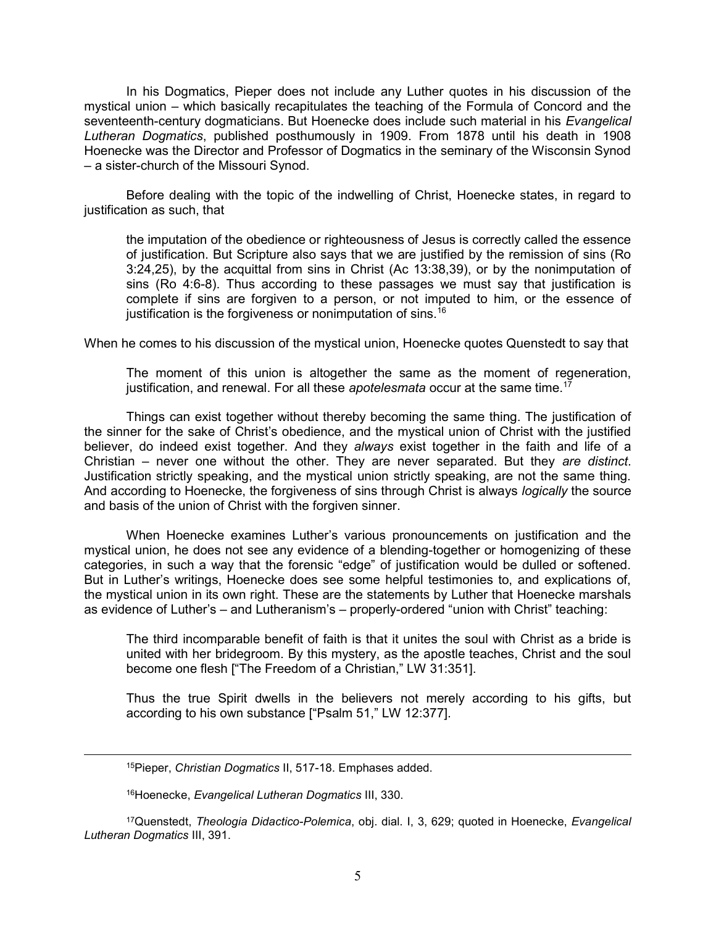In his Dogmatics, Pieper does not include any Luther quotes in his discussion of the mystical union – which basically recapitulates the teaching of the Formula of Concord and the seventeenth-century dogmaticians. But Hoenecke does include such material in his Evangelical Lutheran Dogmatics, published posthumously in 1909. From 1878 until his death in 1908 Hoenecke was the Director and Professor of Dogmatics in the seminary of the Wisconsin Synod – a sister-church of the Missouri Synod.

 Before dealing with the topic of the indwelling of Christ, Hoenecke states, in regard to justification as such, that

the imputation of the obedience or righteousness of Jesus is correctly called the essence of justification. But Scripture also says that we are justified by the remission of sins (Ro 3:24,25), by the acquittal from sins in Christ (Ac 13:38,39), or by the nonimputation of sins (Ro 4:6-8). Thus according to these passages we must say that justification is complete if sins are forgiven to a person, or not imputed to him, or the essence of justification is the forgiveness or nonimputation of sins.<sup>16</sup>

When he comes to his discussion of the mystical union, Hoenecke quotes Quenstedt to say that

The moment of this union is altogether the same as the moment of regeneration, justification, and renewal. For all these apotelesmata occur at the same time.<sup>17</sup>

 Things can exist together without thereby becoming the same thing. The justification of the sinner for the sake of Christ's obedience, and the mystical union of Christ with the justified believer, do indeed exist together. And they always exist together in the faith and life of a Christian – never one without the other. They are never separated. But they are distinct. Justification strictly speaking, and the mystical union strictly speaking, are not the same thing. And according to Hoenecke, the forgiveness of sins through Christ is always *logically* the source and basis of the union of Christ with the forgiven sinner.

 When Hoenecke examines Luther's various pronouncements on justification and the mystical union, he does not see any evidence of a blending-together or homogenizing of these categories, in such a way that the forensic "edge" of justification would be dulled or softened. But in Luther's writings, Hoenecke does see some helpful testimonies to, and explications of, the mystical union in its own right. These are the statements by Luther that Hoenecke marshals as evidence of Luther's – and Lutheranism's – properly-ordered "union with Christ" teaching:

The third incomparable benefit of faith is that it unites the soul with Christ as a bride is united with her bridegroom. By this mystery, as the apostle teaches, Christ and the soul become one flesh ["The Freedom of a Christian," LW 31:351].

Thus the true Spirit dwells in the believers not merely according to his gifts, but according to his own substance ["Psalm 51," LW 12:377].

<sup>15</sup>Pieper, Christian Dogmatics II, 517-18. Emphases added.

16Hoenecke, Evangelical Lutheran Dogmatics III, 330.

 $\overline{a}$ 

<sup>17</sup>Quenstedt, Theologia Didactico-Polemica, obj. dial. I, 3, 629; quoted in Hoenecke, Evangelical Lutheran Dogmatics III, 391.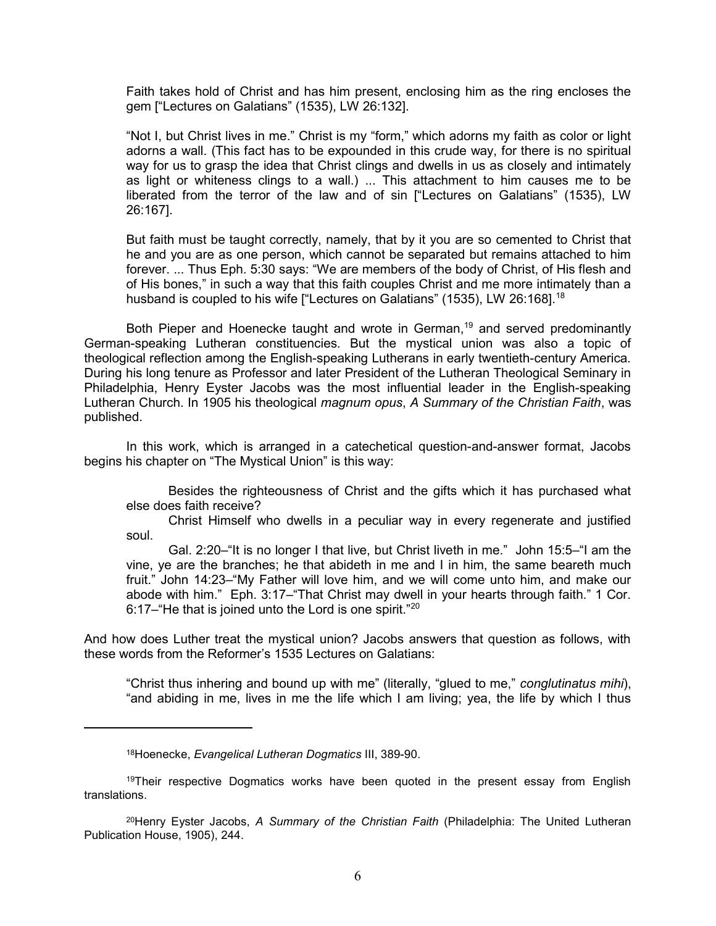Faith takes hold of Christ and has him present, enclosing him as the ring encloses the gem ["Lectures on Galatians" (1535), LW 26:132].

"Not I, but Christ lives in me." Christ is my "form," which adorns my faith as color or light adorns a wall. (This fact has to be expounded in this crude way, for there is no spiritual way for us to grasp the idea that Christ clings and dwells in us as closely and intimately as light or whiteness clings to a wall.) ... This attachment to him causes me to be liberated from the terror of the law and of sin ["Lectures on Galatians" (1535), LW 26:167].

But faith must be taught correctly, namely, that by it you are so cemented to Christ that he and you are as one person, which cannot be separated but remains attached to him forever. ... Thus Eph. 5:30 says: "We are members of the body of Christ, of His flesh and of His bones," in such a way that this faith couples Christ and me more intimately than a husband is coupled to his wife ["Lectures on Galatians" (1535), LW 26:168].<sup>18</sup>

Both Pieper and Hoenecke taught and wrote in German,<sup>19</sup> and served predominantly German-speaking Lutheran constituencies. But the mystical union was also a topic of theological reflection among the English-speaking Lutherans in early twentieth-century America. During his long tenure as Professor and later President of the Lutheran Theological Seminary in Philadelphia, Henry Eyster Jacobs was the most influential leader in the English-speaking Lutheran Church. In 1905 his theological magnum opus, A Summary of the Christian Faith, was published.

 In this work, which is arranged in a catechetical question-and-answer format, Jacobs begins his chapter on "The Mystical Union" is this way:

 Besides the righteousness of Christ and the gifts which it has purchased what else does faith receive?

 Christ Himself who dwells in a peculiar way in every regenerate and justified soul.

 Gal. 2:20–"It is no longer I that live, but Christ liveth in me." John 15:5–"I am the vine, ye are the branches; he that abideth in me and I in him, the same beareth much fruit." John 14:23–"My Father will love him, and we will come unto him, and make our abode with him." Eph. 3:17–"That Christ may dwell in your hearts through faith." 1 Cor. 6:17–"He that is joined unto the Lord is one spirit."<sup>20</sup>

And how does Luther treat the mystical union? Jacobs answers that question as follows, with these words from the Reformer's 1535 Lectures on Galatians:

"Christ thus inhering and bound up with me" (literally, "glued to me," conglutinatus mihi), "and abiding in me, lives in me the life which I am living; yea, the life by which I thus

<sup>18</sup>Hoenecke, Evangelical Lutheran Dogmatics III, 389-90.

<sup>&</sup>lt;sup>19</sup>Their respective Dogmatics works have been quoted in the present essay from English translations.

<sup>&</sup>lt;sup>20</sup>Henry Eyster Jacobs, A Summary of the Christian Faith (Philadelphia: The United Lutheran Publication House, 1905), 244.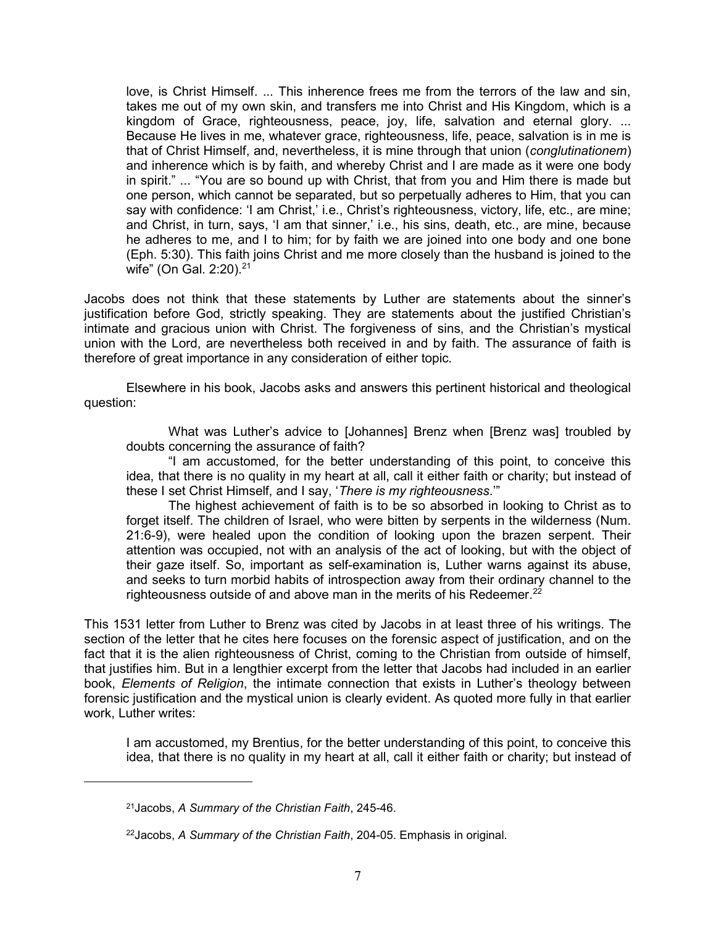love, is Christ Himself. ... This inherence frees me from the terrors of the law and sin, takes me out of my own skin, and transfers me into Christ and His Kingdom, which is a kingdom of Grace, righteousness, peace, joy, life, salvation and eternal glory. ... Because He lives in me, whatever grace, righteousness, life, peace, salvation is in me is that of Christ Himself, and, nevertheless, it is mine through that union (conglutinationem) and inherence which is by faith, and whereby Christ and I are made as it were one body in spirit." ... "You are so bound up with Christ, that from you and Him there is made but one person, which cannot be separated, but so perpetually adheres to Him, that you can say with confidence: 'I am Christ,' i.e., Christ's righteousness, victory, life, etc., are mine; and Christ, in turn, says, 'I am that sinner,' i.e., his sins, death, etc., are mine, because he adheres to me, and I to him; for by faith we are joined into one body and one bone (Eph. 5:30). This faith joins Christ and me more closely than the husband is joined to the wife" (On Gal. 2:20).<sup>21</sup>

Jacobs does not think that these statements by Luther are statements about the sinner's justification before God, strictly speaking. They are statements about the justified Christian's intimate and gracious union with Christ. The forgiveness of sins, and the Christian's mystical union with the Lord, are nevertheless both received in and by faith. The assurance of faith is therefore of great importance in any consideration of either topic.

Elsewhere in his book, Jacobs asks and answers this pertinent historical and theological question:

 What was Luther's advice to [Johannes] Brenz when [Brenz was] troubled by doubts concerning the assurance of faith?

 "I am accustomed, for the better understanding of this point, to conceive this idea, that there is no quality in my heart at all, call it either faith or charity; but instead of these I set Christ Himself, and I say, 'There is my righteousness.'"

 The highest achievement of faith is to be so absorbed in looking to Christ as to forget itself. The children of Israel, who were bitten by serpents in the wilderness (Num. 21:6-9), were healed upon the condition of looking upon the brazen serpent. Their attention was occupied, not with an analysis of the act of looking, but with the object of their gaze itself. So, important as self-examination is, Luther warns against its abuse, and seeks to turn morbid habits of introspection away from their ordinary channel to the righteousness outside of and above man in the merits of his Redeemer.<sup>22</sup>

This 1531 letter from Luther to Brenz was cited by Jacobs in at least three of his writings. The section of the letter that he cites here focuses on the forensic aspect of justification, and on the fact that it is the alien righteousness of Christ, coming to the Christian from outside of himself, that justifies him. But in a lengthier excerpt from the letter that Jacobs had included in an earlier book, Elements of Religion, the intimate connection that exists in Luther's theology between forensic justification and the mystical union is clearly evident. As quoted more fully in that earlier work, Luther writes:

I am accustomed, my Brentius, for the better understanding of this point, to conceive this idea, that there is no quality in my heart at all, call it either faith or charity; but instead of

<sup>21</sup>Jacobs, A Summary of the Christian Faith, 245-46.

<sup>&</sup>lt;sup>22</sup> Jacobs, A Summary of the Christian Faith, 204-05. Emphasis in original.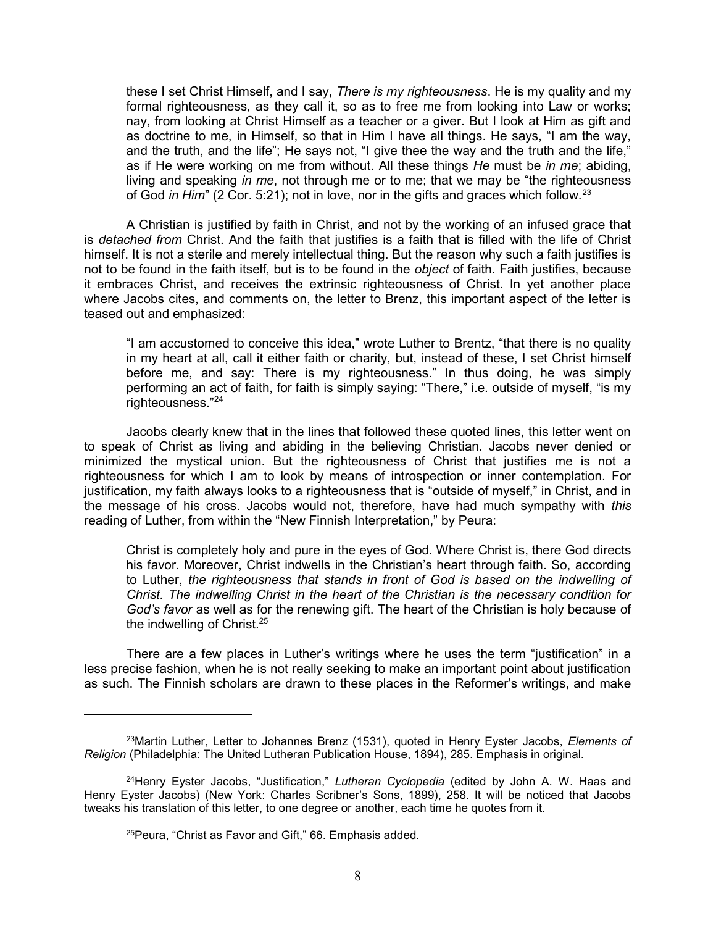these I set Christ Himself, and I say, There is my righteousness. He is my quality and my formal righteousness, as they call it, so as to free me from looking into Law or works; nay, from looking at Christ Himself as a teacher or a giver. But I look at Him as gift and as doctrine to me, in Himself, so that in Him I have all things. He says, "I am the way, and the truth, and the life"; He says not, "I give thee the way and the truth and the life," as if He were working on me from without. All these things  $He$  must be in me; abiding, living and speaking in me, not through me or to me; that we may be "the righteousness" of God *in Him*" (2 Cor. 5:21); not in love, nor in the gifts and graces which follow.<sup>23</sup>

 A Christian is justified by faith in Christ, and not by the working of an infused grace that is detached from Christ. And the faith that justifies is a faith that is filled with the life of Christ himself. It is not a sterile and merely intellectual thing. But the reason why such a faith justifies is not to be found in the faith itself, but is to be found in the object of faith. Faith justifies, because it embraces Christ, and receives the extrinsic righteousness of Christ. In yet another place where Jacobs cites, and comments on, the letter to Brenz, this important aspect of the letter is teased out and emphasized:

"I am accustomed to conceive this idea," wrote Luther to Brentz, "that there is no quality in my heart at all, call it either faith or charity, but, instead of these, I set Christ himself before me, and say: There is my righteousness." In thus doing, he was simply performing an act of faith, for faith is simply saying: "There," i.e. outside of myself, "is my righteousness."<sup>24</sup>

 Jacobs clearly knew that in the lines that followed these quoted lines, this letter went on to speak of Christ as living and abiding in the believing Christian. Jacobs never denied or minimized the mystical union. But the righteousness of Christ that justifies me is not a righteousness for which I am to look by means of introspection or inner contemplation. For justification, my faith always looks to a righteousness that is "outside of myself," in Christ, and in the message of his cross. Jacobs would not, therefore, have had much sympathy with this reading of Luther, from within the "New Finnish Interpretation," by Peura:

Christ is completely holy and pure in the eyes of God. Where Christ is, there God directs his favor. Moreover, Christ indwells in the Christian's heart through faith. So, according to Luther, the righteousness that stands in front of God is based on the indwelling of Christ. The indwelling Christ in the heart of the Christian is the necessary condition for God's favor as well as for the renewing gift. The heart of the Christian is holy because of the indwelling of Christ.<sup>25</sup>

 There are a few places in Luther's writings where he uses the term "justification" in a less precise fashion, when he is not really seeking to make an important point about justification as such. The Finnish scholars are drawn to these places in the Reformer's writings, and make

<sup>&</sup>lt;sup>23</sup>Martin Luther, Letter to Johannes Brenz (1531), quoted in Henry Eyster Jacobs, Elements of Religion (Philadelphia: The United Lutheran Publication House, 1894), 285. Emphasis in original.

<sup>&</sup>lt;sup>24</sup>Henry Eyster Jacobs, "Justification," Lutheran Cyclopedia (edited by John A. W. Haas and Henry Eyster Jacobs) (New York: Charles Scribner's Sons, 1899), 258. It will be noticed that Jacobs tweaks his translation of this letter, to one degree or another, each time he quotes from it.

<sup>25</sup>Peura, "Christ as Favor and Gift," 66. Emphasis added.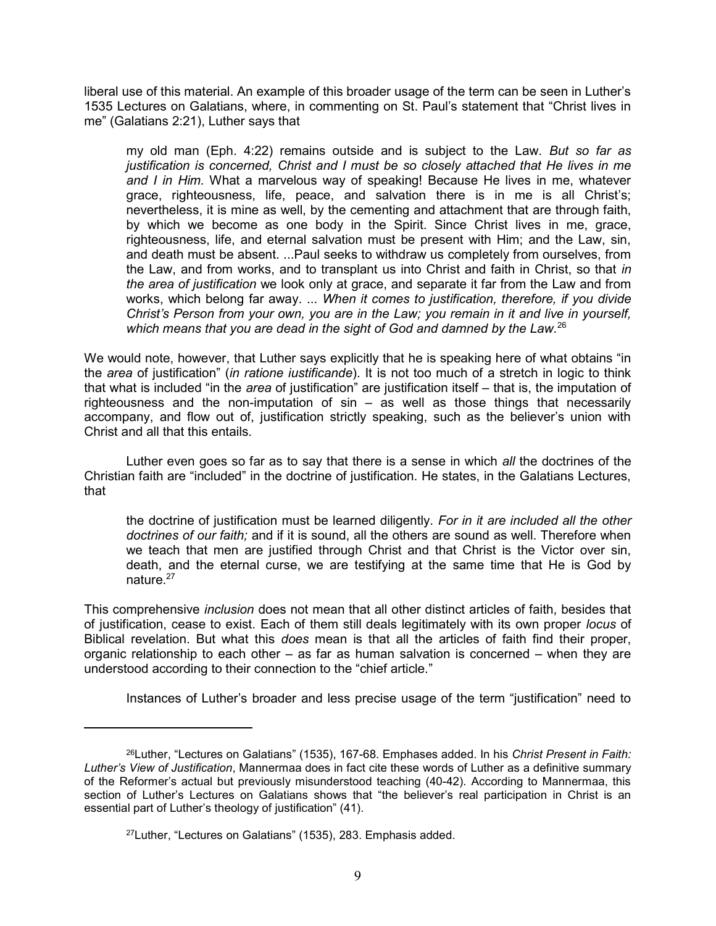liberal use of this material. An example of this broader usage of the term can be seen in Luther's 1535 Lectures on Galatians, where, in commenting on St. Paul's statement that "Christ lives in me" (Galatians 2:21), Luther says that

my old man (Eph.  $4:22$ ) remains outside and is subject to the Law. But so far as justification is concerned, Christ and I must be so closely attached that He lives in me and I in Him. What a marvelous way of speaking! Because He lives in me, whatever grace, righteousness, life, peace, and salvation there is in me is all Christ's; nevertheless, it is mine as well, by the cementing and attachment that are through faith, by which we become as one body in the Spirit. Since Christ lives in me, grace, righteousness, life, and eternal salvation must be present with Him; and the Law, sin, and death must be absent. ...Paul seeks to withdraw us completely from ourselves, from the Law, and from works, and to transplant us into Christ and faith in Christ, so that in the area of justification we look only at grace, and separate it far from the Law and from works, which belong far away. ... When it comes to justification, therefore, if you divide Christ's Person from your own, you are in the Law; you remain in it and live in yourself, which means that you are dead in the sight of God and damned by the Law.<sup>26</sup>

We would note, however, that Luther says explicitly that he is speaking here of what obtains "in the area of justification" (in ratione iustificande). It is not too much of a stretch in logic to think that what is included "in the area of justification" are justification itself – that is, the imputation of righteousness and the non-imputation of sin – as well as those things that necessarily accompany, and flow out of, justification strictly speaking, such as the believer's union with Christ and all that this entails.

Luther even goes so far as to say that there is a sense in which all the doctrines of the Christian faith are "included" in the doctrine of justification. He states, in the Galatians Lectures, that

the doctrine of justification must be learned diligently. For in it are included all the other doctrines of our faith; and if it is sound, all the others are sound as well. Therefore when we teach that men are justified through Christ and that Christ is the Victor over sin, death, and the eternal curse, we are testifying at the same time that He is God by nature.<sup>27</sup>

This comprehensive *inclusion* does not mean that all other distinct articles of faith, besides that of justification, cease to exist. Each of them still deals legitimately with its own proper locus of Biblical revelation. But what this does mean is that all the articles of faith find their proper, organic relationship to each other – as far as human salvation is concerned – when they are understood according to their connection to the "chief article."

Instances of Luther's broader and less precise usage of the term "justification" need to

<sup>&</sup>lt;sup>26</sup>Luther, "Lectures on Galatians" (1535), 167-68. Emphases added. In his Christ Present in Faith: Luther's View of Justification, Mannermaa does in fact cite these words of Luther as a definitive summary of the Reformer's actual but previously misunderstood teaching (40-42). According to Mannermaa, this section of Luther's Lectures on Galatians shows that "the believer's real participation in Christ is an essential part of Luther's theology of justification" (41).

<sup>27</sup>Luther, "Lectures on Galatians" (1535), 283. Emphasis added.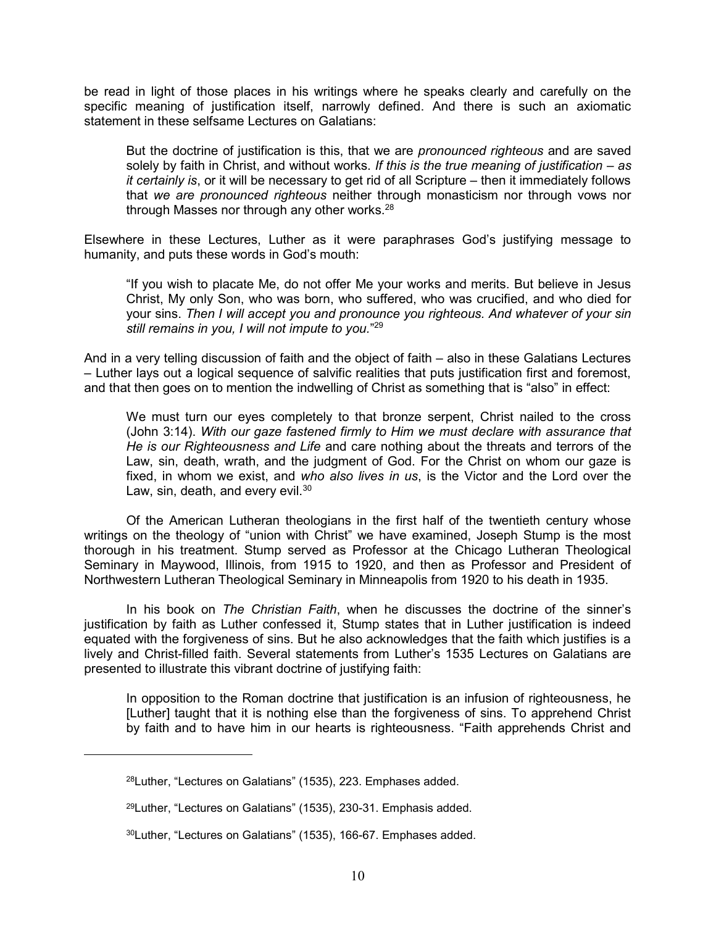be read in light of those places in his writings where he speaks clearly and carefully on the specific meaning of justification itself, narrowly defined. And there is such an axiomatic statement in these selfsame Lectures on Galatians:

But the doctrine of justification is this, that we are *pronounced righteous* and are saved solely by faith in Christ, and without works. If this is the true meaning of justification – as it certainly is, or it will be necessary to get rid of all Scripture – then it immediately follows that we are pronounced righteous neither through monasticism nor through vows nor through Masses nor through any other works.<sup>28</sup>

Elsewhere in these Lectures, Luther as it were paraphrases God's justifying message to humanity, and puts these words in God's mouth:

"If you wish to placate Me, do not offer Me your works and merits. But believe in Jesus Christ, My only Son, who was born, who suffered, who was crucified, and who died for your sins. Then I will accept you and pronounce you righteous. And whatever of your sin still remains in you, I will not impute to you."<sup>29</sup>

And in a very telling discussion of faith and the object of faith – also in these Galatians Lectures – Luther lays out a logical sequence of salvific realities that puts justification first and foremost, and that then goes on to mention the indwelling of Christ as something that is "also" in effect:

We must turn our eyes completely to that bronze serpent, Christ nailed to the cross (John 3:14). With our gaze fastened firmly to Him we must declare with assurance that He is our Righteousness and Life and care nothing about the threats and terrors of the Law, sin, death, wrath, and the judgment of God. For the Christ on whom our gaze is fixed, in whom we exist, and who also lives in us, is the Victor and the Lord over the Law, sin, death, and every evil. $30$ 

 Of the American Lutheran theologians in the first half of the twentieth century whose writings on the theology of "union with Christ" we have examined, Joseph Stump is the most thorough in his treatment. Stump served as Professor at the Chicago Lutheran Theological Seminary in Maywood, Illinois, from 1915 to 1920, and then as Professor and President of Northwestern Lutheran Theological Seminary in Minneapolis from 1920 to his death in 1935.

In his book on The Christian Faith, when he discusses the doctrine of the sinner's justification by faith as Luther confessed it, Stump states that in Luther justification is indeed equated with the forgiveness of sins. But he also acknowledges that the faith which justifies is a lively and Christ-filled faith. Several statements from Luther's 1535 Lectures on Galatians are presented to illustrate this vibrant doctrine of justifying faith:

In opposition to the Roman doctrine that justification is an infusion of righteousness, he [Luther] taught that it is nothing else than the forgiveness of sins. To apprehend Christ by faith and to have him in our hearts is righteousness. "Faith apprehends Christ and

<sup>28</sup>Luther, "Lectures on Galatians" (1535), 223. Emphases added.

<sup>29</sup>Luther, "Lectures on Galatians" (1535), 230-31. Emphasis added.

<sup>30</sup>Luther, "Lectures on Galatians" (1535), 166-67. Emphases added.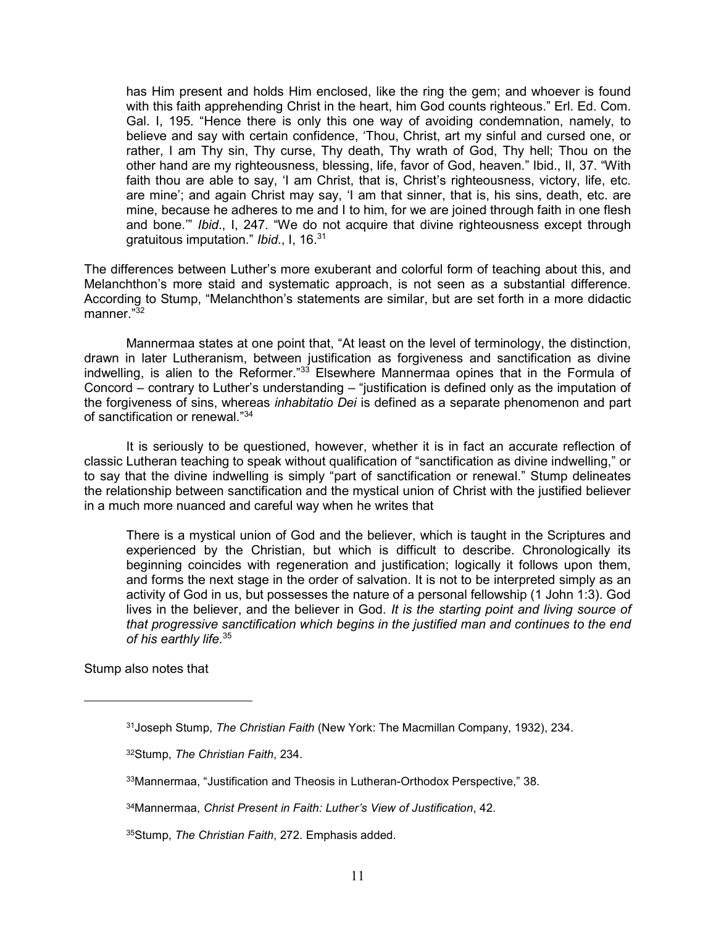has Him present and holds Him enclosed, like the ring the gem; and whoever is found with this faith apprehending Christ in the heart, him God counts righteous." Erl. Ed. Com. Gal. I, 195. "Hence there is only this one way of avoiding condemnation, namely, to believe and say with certain confidence, 'Thou, Christ, art my sinful and cursed one, or rather, I am Thy sin, Thy curse, Thy death, Thy wrath of God, Thy hell; Thou on the other hand are my righteousness, blessing, life, favor of God, heaven." Ibid., II, 37. "With faith thou are able to say, 'I am Christ, that is, Christ's righteousness, victory, life, etc. are mine'; and again Christ may say, 'I am that sinner, that is, his sins, death, etc. are mine, because he adheres to me and I to him, for we are joined through faith in one flesh and bone." Ibid., I, 247. "We do not acquire that divine righteousness except through gratuitous imputation." Ibid., I, 16.<sup>31</sup>

The differences between Luther's more exuberant and colorful form of teaching about this, and Melanchthon's more staid and systematic approach, is not seen as a substantial difference. According to Stump, "Melanchthon's statements are similar, but are set forth in a more didactic manner."<sup>32</sup>

 Mannermaa states at one point that, "At least on the level of terminology, the distinction, drawn in later Lutheranism, between justification as forgiveness and sanctification as divine indwelling, is alien to the Reformer." $33$  Elsewhere Mannermaa opines that in the Formula of Concord – contrary to Luther's understanding – "justification is defined only as the imputation of the forgiveness of sins, whereas inhabitatio Dei is defined as a separate phenomenon and part of sanctification or renewal."<sup>34</sup>

 It is seriously to be questioned, however, whether it is in fact an accurate reflection of classic Lutheran teaching to speak without qualification of "sanctification as divine indwelling," or to say that the divine indwelling is simply "part of sanctification or renewal." Stump delineates the relationship between sanctification and the mystical union of Christ with the justified believer in a much more nuanced and careful way when he writes that

There is a mystical union of God and the believer, which is taught in the Scriptures and experienced by the Christian, but which is difficult to describe. Chronologically its beginning coincides with regeneration and justification; logically it follows upon them, and forms the next stage in the order of salvation. It is not to be interpreted simply as an activity of God in us, but possesses the nature of a personal fellowship (1 John 1:3). God lives in the believer, and the believer in God. It is the starting point and living source of that progressive sanctification which begins in the justified man and continues to the end of his earthly life.<sup>35</sup>

Stump also notes that

<sup>&</sup>lt;sup>31</sup> Joseph Stump, The Christian Faith (New York: The Macmillan Company, 1932), 234.

<sup>32</sup>Stump, The Christian Faith, 234.

<sup>33</sup>Mannermaa, "Justification and Theosis in Lutheran-Orthodox Perspective," 38.

<sup>34</sup>Mannermaa, Christ Present in Faith: Luther's View of Justification, 42.

<sup>35</sup>Stump, The Christian Faith, 272. Emphasis added.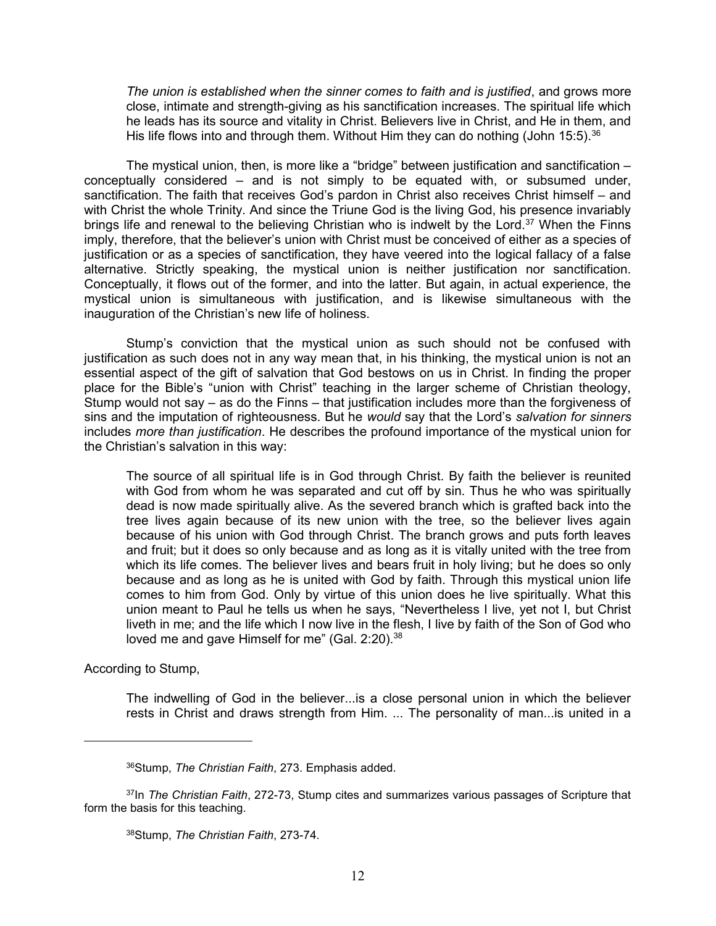The union is established when the sinner comes to faith and is justified, and grows more close, intimate and strength-giving as his sanctification increases. The spiritual life which he leads has its source and vitality in Christ. Believers live in Christ, and He in them, and His life flows into and through them. Without Him they can do nothing (John 15:5).  $36$ 

 The mystical union, then, is more like a "bridge" between justification and sanctification – conceptually considered – and is not simply to be equated with, or subsumed under, sanctification. The faith that receives God's pardon in Christ also receives Christ himself – and with Christ the whole Trinity. And since the Triune God is the living God, his presence invariably brings life and renewal to the believing Christian who is indwelt by the Lord.<sup>37</sup> When the Finns imply, therefore, that the believer's union with Christ must be conceived of either as a species of justification or as a species of sanctification, they have veered into the logical fallacy of a false alternative. Strictly speaking, the mystical union is neither justification nor sanctification. Conceptually, it flows out of the former, and into the latter. But again, in actual experience, the mystical union is simultaneous with justification, and is likewise simultaneous with the inauguration of the Christian's new life of holiness.

 Stump's conviction that the mystical union as such should not be confused with justification as such does not in any way mean that, in his thinking, the mystical union is not an essential aspect of the gift of salvation that God bestows on us in Christ. In finding the proper place for the Bible's "union with Christ" teaching in the larger scheme of Christian theology, Stump would not say  $-$  as do the Finns  $-$  that justification includes more than the forgiveness of sins and the imputation of righteousness. But he would say that the Lord's salvation for sinners includes more than justification. He describes the profound importance of the mystical union for the Christian's salvation in this way:

The source of all spiritual life is in God through Christ. By faith the believer is reunited with God from whom he was separated and cut off by sin. Thus he who was spiritually dead is now made spiritually alive. As the severed branch which is grafted back into the tree lives again because of its new union with the tree, so the believer lives again because of his union with God through Christ. The branch grows and puts forth leaves and fruit; but it does so only because and as long as it is vitally united with the tree from which its life comes. The believer lives and bears fruit in holy living; but he does so only because and as long as he is united with God by faith. Through this mystical union life comes to him from God. Only by virtue of this union does he live spiritually. What this union meant to Paul he tells us when he says, "Nevertheless I live, yet not I, but Christ liveth in me; and the life which I now live in the flesh, I live by faith of the Son of God who loved me and gave Himself for me" (Gal. 2:20).<sup>38</sup>

According to Stump,

 $\overline{a}$ 

The indwelling of God in the believer...is a close personal union in which the believer rests in Christ and draws strength from Him. ... The personality of man...is united in a

<sup>36</sup>Stump, The Christian Faith, 273. Emphasis added.

 $37$ In The Christian Faith, 272-73, Stump cites and summarizes various passages of Scripture that form the basis for this teaching.

<sup>38</sup>Stump, The Christian Faith, 273-74.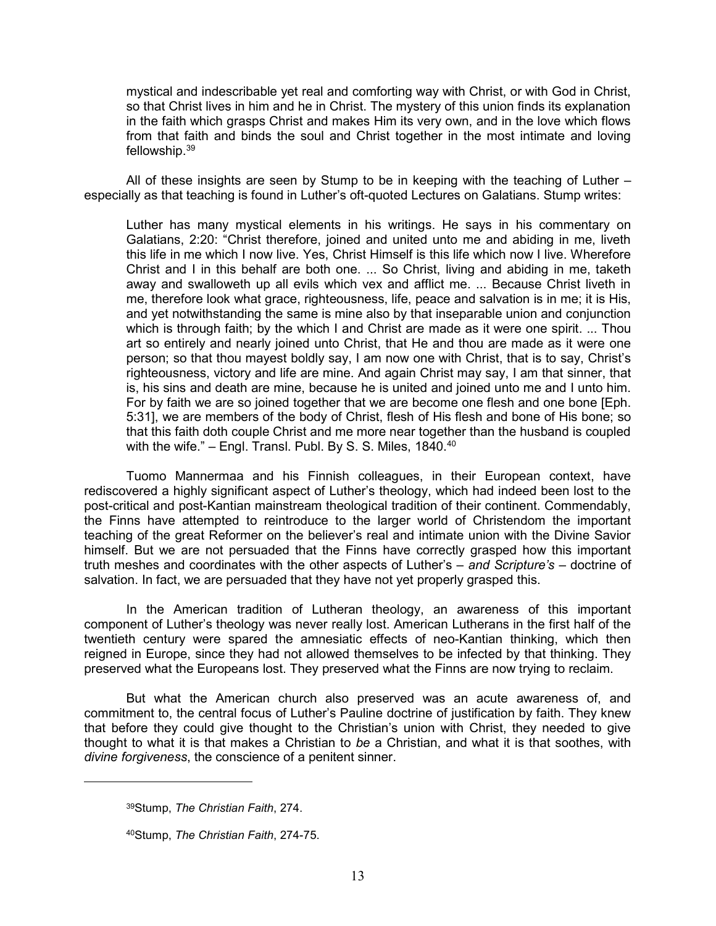mystical and indescribable yet real and comforting way with Christ, or with God in Christ, so that Christ lives in him and he in Christ. The mystery of this union finds its explanation in the faith which grasps Christ and makes Him its very own, and in the love which flows from that faith and binds the soul and Christ together in the most intimate and loving fellowship.<sup>39</sup>

 All of these insights are seen by Stump to be in keeping with the teaching of Luther – especially as that teaching is found in Luther's oft-quoted Lectures on Galatians. Stump writes:

Luther has many mystical elements in his writings. He says in his commentary on Galatians, 2:20: "Christ therefore, joined and united unto me and abiding in me, liveth this life in me which I now live. Yes, Christ Himself is this life which now I live. Wherefore Christ and I in this behalf are both one. ... So Christ, living and abiding in me, taketh away and swalloweth up all evils which vex and afflict me. ... Because Christ liveth in me, therefore look what grace, righteousness, life, peace and salvation is in me; it is His, and yet notwithstanding the same is mine also by that inseparable union and conjunction which is through faith; by the which I and Christ are made as it were one spirit. ... Thou art so entirely and nearly joined unto Christ, that He and thou are made as it were one person; so that thou mayest boldly say, I am now one with Christ, that is to say, Christ's righteousness, victory and life are mine. And again Christ may say, I am that sinner, that is, his sins and death are mine, because he is united and joined unto me and I unto him. For by faith we are so joined together that we are become one flesh and one bone [Eph. 5:31], we are members of the body of Christ, flesh of His flesh and bone of His bone; so that this faith doth couple Christ and me more near together than the husband is coupled with the wife."  $-$  Engl. Transl. Publ. By S. S. Miles, 1840. $40$ 

 Tuomo Mannermaa and his Finnish colleagues, in their European context, have rediscovered a highly significant aspect of Luther's theology, which had indeed been lost to the post-critical and post-Kantian mainstream theological tradition of their continent. Commendably, the Finns have attempted to reintroduce to the larger world of Christendom the important teaching of the great Reformer on the believer's real and intimate union with the Divine Savior himself. But we are not persuaded that the Finns have correctly grasped how this important truth meshes and coordinates with the other aspects of Luther's – and Scripture's – doctrine of salvation. In fact, we are persuaded that they have not yet properly grasped this.

 In the American tradition of Lutheran theology, an awareness of this important component of Luther's theology was never really lost. American Lutherans in the first half of the twentieth century were spared the amnesiatic effects of neo-Kantian thinking, which then reigned in Europe, since they had not allowed themselves to be infected by that thinking. They preserved what the Europeans lost. They preserved what the Finns are now trying to reclaim.

 But what the American church also preserved was an acute awareness of, and commitment to, the central focus of Luther's Pauline doctrine of justification by faith. They knew that before they could give thought to the Christian's union with Christ, they needed to give thought to what it is that makes a Christian to be a Christian, and what it is that soothes, with divine forgiveness, the conscience of a penitent sinner.

<sup>39</sup>Stump, The Christian Faith, 274.

<sup>40</sup>Stump, The Christian Faith, 274-75.